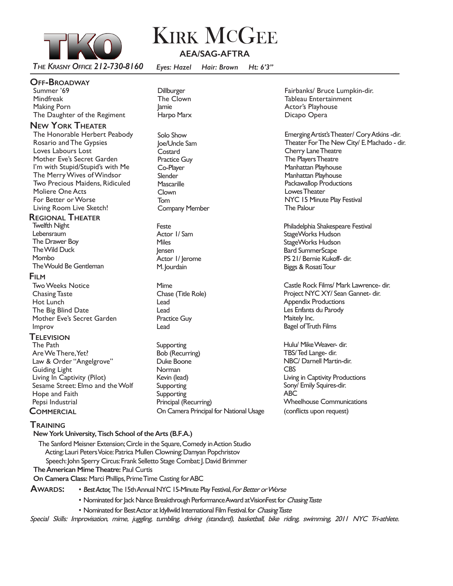

# **KIRK MCGEE AEA/SAG-AFTRA**

 *The Krasny Office 212-730-8160 Eyes: Hazel Hair: Brown Ht: 6'3"*

### **Off-Broadway**

Summer '69 Mindfreak Making Porn The Daughter of the Regiment

## **New York Theater**

The Honorable Herbert Peabody Rosario and The Gypsies Loves Labours Lost Mother Eve's Secret Garden I'm with Stupid/Stupid's with Me The Merry Wives of Windsor Two Precious Maidens, Ridiculed Moliere One Acts For Better or Worse Living Room Live Sketch!

## **Regional Theater**

Twelfth Night Lebensraum The Drawer Boy The Wild Duck Mombo The Would Be Gentleman

### **Film**

Two Weeks Notice Chasing Taste Hot Lunch The Big Blind Date Mother Eve's Secret Garden Improv

## **Television**

The Path Are We There, Yet? Law & Order "Angelgrove" Guiding Light Living In Captivity (Pilot) Sesame Street: Elmo and the Wolf Hope and Faith Pepsi Industrial

- **Dillburger** The Clown Jamie Harpo Marx
- Solo Show Joe/Uncle Sam **Costard** Practice Guy Co-Player **Slender Mascarille** Clown Tom Company Member

Feste Actor 1/ Sam Miles Jensen Actor 1/ Jerome M. Jourdain

Mime Chase (Title Role) Lead Lead Practice Guy Lead

**COMMERCIAL** COM Camera Principal for National Usage (conflicts upon request) Supporting Bob (Recurring) Duke Boone **Norman** Kevin (lead) **Supporting** Supporting Principal (Recurring)

Fairbanks/ Bruce Lumpkin-dir. Tableau Entertainment Actor's Playhouse Dicapo Opera

Emerging Artist's Theater/ Cory Atkins -dir. Theater For The New City/ E. Machado - dir. Cherry Lane Theatre The Players Theatre Manhattan Playhouse Manhattan Playhouse Packawallop Productions Lowes Theater NYC 15 Minute Play Festival The Palour

Philadelphia Shakespeare Festival StageWorks Hudson StageWorks Hudson Bard SummerScape PS 21/ Bernie Kukoff- dir. Biggs & Rosati Tour

Castle Rock Films/ Mark Lawrence- dir. Project NYC XY/ Sean Gannet- dir. Appendix Productions Les Enfants du Parody Maitely Inc. Bagel of Truth Films

Hulu/ Mike Weaver- dir. TBS/ Ted Lange- dir. NBC/ Darnell Martin-dir. CBS Living in Captivity Productions Sony/ Emily Squires-dir. ABC Wheelhouse Communications

## **Training**

**New York University, Tisch School of the Arts (B.F.A.)** The Sanford Meisner Extension; Circle in the Square, Comedy in Action Studio Acting: Lauri Peters Voice: Patrica Mullen Clowning: Damyan Popchristov Speech: John Sperry Circus: Frank Selletto Stage Combat: J. David Brimmer **The American Mime Theatre:** Paul Curtis

**On Camera Class:** Marci Phillips, Prime Time Casting for ABC

- **Awards:**  *Best Actor,* The 15th Annual NYC 15-Minute Play Festival, For Better or Worse
	- Nominated for Jack Nance Breakthrough Performance Award at VisionFest for Chasing Taste
	- Nominated for Best Actor at Idyllwild International Film Festival. for Chasing Taste

Special Skills: Improvisation, mime, juggling, tumbling, driving (standard), basketball, bike riding, swimming, 2011 NYC Tri-athlete.